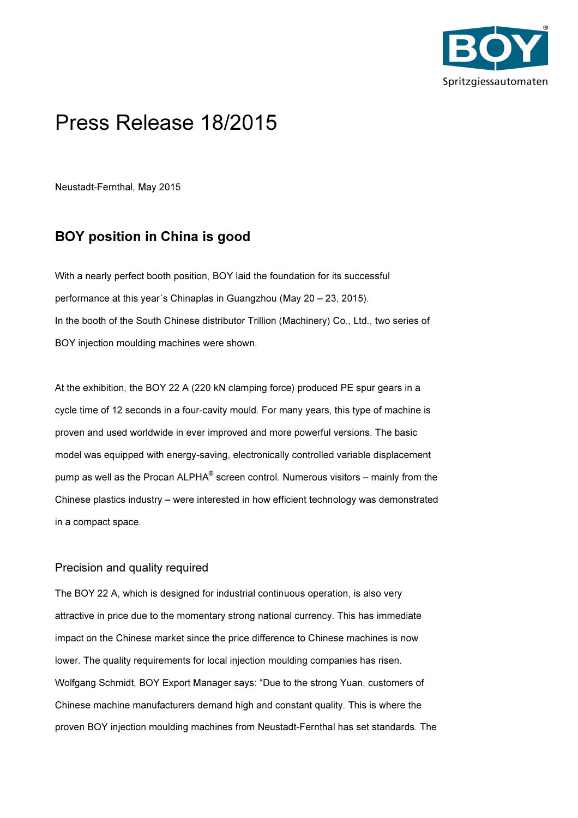

## Press Release 18/2015

Neustadt-Fernthal, May 2015

## BOY position in China is good

With a nearly perfect booth position, BOY laid the foundation for its successful performance at this year´s Chinaplas in Guangzhou (May 20 – 23, 2015). In the booth of the South Chinese distributor Trillion (Machinery) Co., Ltd., two series of BOY injection moulding machines were shown.

At the exhibition, the BOY 22 A (220 kN clamping force) produced PE spur gears in a cycle time of 12 seconds in a four-cavity mould. For many years, this type of machine is proven and used worldwide in ever improved and more powerful versions. The basic model was equipped with energy-saving, electronically controlled variable displacement pump as well as the Procan ALPHA $^\circ$  screen control. Numerous visitors – mainly from the Chinese plastics industry – were interested in how efficient technology was demonstrated in a compact space.

## Precision and quality required

The BOY 22 A, which is designed for industrial continuous operation, is also very attractive in price due to the momentary strong national currency. This has immediate impact on the Chinese market since the price difference to Chinese machines is now lower. The quality requirements for local injection moulding companies has risen. Wolfgang Schmidt, BOY Export Manager says: "Due to the strong Yuan, customers of Chinese machine manufacturers demand high and constant quality. This is where the proven BOY injection moulding machines from Neustadt-Fernthal has set standards. The